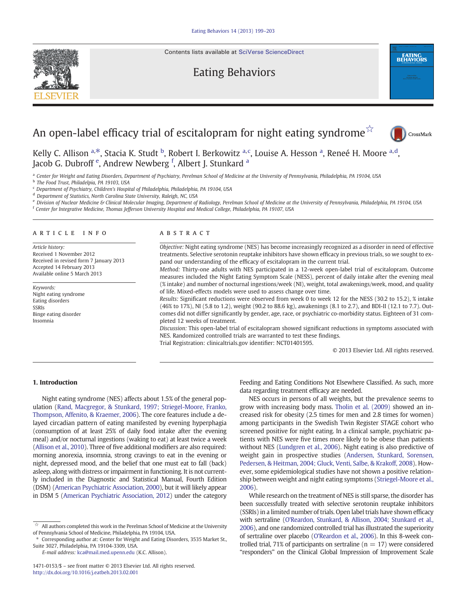Contents lists available at [SciVerse ScienceDirect](http://www.sciencedirect.com/science/journal/14710153)





## An open-label efficacy trial of escitalopram for night eating syndrome $\tilde{\alpha}$



Kelly C. Allison <sup>a,\*</sup>, Stacia K. Studt <sup>b</sup>, Robert I. Berkowitz <sup>a,c</sup>, Louise A. Hesson <sup>a</sup>, Reneé H. Moore <sup>a,d</sup>, Jacob G. Dubroff <sup>e</sup>, Andrew Newberg <sup>f</sup>, Albert J. Stunkard <sup>a</sup>

a Center for Weight and Eating Disorders, Department of Psychiatry, Perelman School of Medicine at the University of Pennsylvania, Philadelphia, PA 19104, USA

**b** The Food Trust, Philadelpia, PA 19103, USA

<sup>c</sup> Department of Psychiatry, Children's Hospital of Philadelphia, Philadelphia, PA 19104, USA

<sup>d</sup> Department of Statistics, North Carolina State University, Raleigh, NC, USA

e Division of Nuclear Medicine & Clinical Molecular Imaging, Department of Radiology, Perelman School of Medicine at the University of Pennsylvania, Philadelphia, PA 19104, USA

<sup>f</sup> Center for Integrative Medicine, Thomas Jefferson University Hospital and Medical College, Philadelphia, PA 19107, USA

#### article info abstract

Article history: Received 1 November 2012 Received in revised form 7 January 2013 Accepted 14 February 2013 Available online 5 March 2013

Keywords: Night eating syndrome Eating disorders SSRIs Binge eating disorder Insomnia

Objective: Night eating syndrome (NES) has become increasingly recognized as a disorder in need of effective treatments. Selective serotonin reuptake inhibitors have shown efficacy in previous trials, so we sought to expand our understanding of the efficacy of escitalopram in the current trial.

Method: Thirty-one adults with NES participated in a 12-week open-label trial of escitalopram. Outcome measures included the Night Eating Symptom Scale (NESS), percent of daily intake after the evening meal (% intake) and number of nocturnal ingestions/week (NI), weight, total awakenings/week, mood, and quality of life. Mixed-effects models were used to assess change over time.

Results: Significant reductions were observed from week 0 to week 12 for the NESS (30.2 to 15.2), % intake (46% to 17%), NI (5.8 to 1.2), weight (90.2 to 88.6 kg), awakenings (8.1 to 2.7), and BDI-II (12.1 to 7.7). Outcomes did not differ significantly by gender, age, race, or psychiatric co-morbidity status. Eighteen of 31 completed 12 weeks of treatment.

Discussion: This open-label trial of escitalopram showed significant reductions in symptoms associated with NES. Randomized controlled trials are warranted to test these findings. Trial Registration: clinicaltrials.gov identifier: NCT01401595.

© 2013 Elsevier Ltd. All rights reserved.

### 1. Introduction

Night eating syndrome (NES) affects about 1.5% of the general population [\(Rand, Macgregor, & Stunkard, 1997; Striegel-Moore, Franko,](#page--1-0) [Thompson, Affenito, & Kraemer, 2006](#page--1-0)). The core features include a delayed circadian pattern of eating manifested by evening hyperphagia (consumption of at least 25% of daily food intake after the evening meal) and/or nocturnal ingestions (waking to eat) at least twice a week [\(Allison et al., 2010\)](#page--1-0). Three of five additional modifiers are also required: morning anorexia, insomnia, strong cravings to eat in the evening or night, depressed mood, and the belief that one must eat to fall (back) asleep, along with distress or impairment in functioning. It is not currently included in the Diagnostic and Statistical Manual, Fourth Edition (DSM) [\(American Psychiatric Association, 2000](#page--1-0)), but it will likely appear in DSM 5 [\(American Psychiatric Association, 2012\)](#page--1-0) under the category

⁎ Corresponding author at: Center for Weight and Eating Disorders, 3535 Market St., Suite 3027, Philadelphia, PA 19104-3309, USA.

E-mail address: [kca@mail.med.upenn.edu](mailto:kca@mail.med.upenn.edu) (K.C. Allison).

Feeding and Eating Conditions Not Elsewhere Classified. As such, more data regarding treatment efficacy are needed.

NES occurs in persons of all weights, but the prevalence seems to grow with increasing body mass. [Tholin et al. \(2009\)](#page--1-0) showed an increased risk for obesity (2.5 times for men and 2.8 times for women) among participants in the Swedish Twin Register STAGE cohort who screened positive for night eating. In a clinical sample, psychiatric patients with NES were five times more likely to be obese than patients without NES [\(Lundgren et al., 2006](#page--1-0)). Night eating is also predictive of weight gain in prospective studies [\(Andersen, Stunkard, Sorensen,](#page--1-0) [Pedersen, & Heitman, 2004; Gluck, Venti, Salbe, & Krakoff, 2008](#page--1-0)). However, some epidemiological studies have not shown a positive relationship between weight and night eating symptoms [\(Striegel-Moore et al.,](#page--1-0) [2006](#page--1-0)).

While research on the treatment of NES is still sparse, the disorder has been successfully treated with selective serotonin reuptake inhibitors (SSRIs) in a limited number of trials. Open label trials have shown efficacy with sertraline [\(O'Reardon, Stunkard, & Allison, 2004; Stunkard et al.,](#page--1-0) [2006\)](#page--1-0), and one randomized controlled trial has illustrated the superiority of sertraline over placebo [\(O'Reardon et al., 2006](#page--1-0)). In this 8-week controlled trial, 71% of participants on sertraline ( $n = 17$ ) were considered "responders" on the Clinical Global Impression of Improvement Scale

 $\overrightarrow{a}$  All authors completed this work in the Perelman School of Medicine at the University of Pennsylvania School of Medicine, Philadelphia, PA 19104, USA.

<sup>1471-0153/\$</sup> – see front matter © 2013 Elsevier Ltd. All rights reserved. <http://dx.doi.org/10.1016/j.eatbeh.2013.02.001>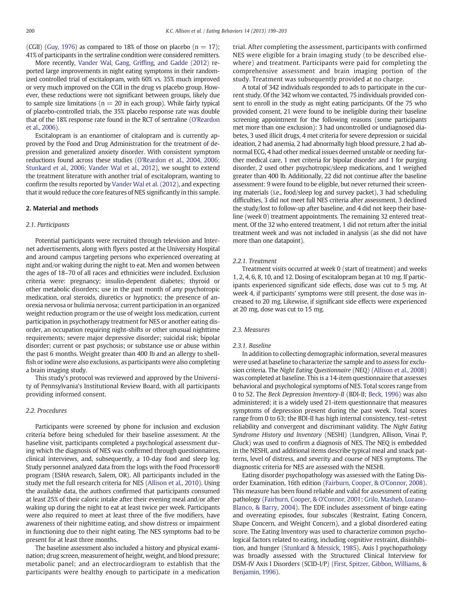(CGII) [\(Guy, 1976\)](#page--1-0) as compared to 18% of those on placebo  $(n = 17)$ ; 41% of participants in the sertraline condition were considered remitters.

More recently, [Vander Wal, Gang, Grif](#page--1-0)fing, and Gadde (2012) reported large improvements in night eating symptoms in their randomized controlled trial of escitalopram, with 60% vs. 35% much improved or very much improved on the CGII in the drug vs placebo group. However, these reductions were not significant between groups, likely due to sample size limitations ( $n = 20$  in each group). While fairly typical of placebo-controlled trials, the 35% placebo response rate was double that of the 18% response rate found in the RCT of sertraline [\(O'Reardon](#page--1-0) [et al., 2006\)](#page--1-0).

Escitalopram is an enantiomer of citalopram and is currently approved by the Food and Drug Administration for the treatment of depression and generalized anxiety disorder. With consistent symptom reductions found across these studies [\(O'Reardon et al., 2004, 2006;](#page--1-0) [Stunkard et al., 2006; Vander Wal et al., 2012](#page--1-0)), we sought to extend the treatment literature with another trial of escitalopram, wanting to confirm the results reported by [Vander Wal et al. \(2012\),](#page--1-0) and expecting that it would reduce the core features of NES significantly in this sample.

#### 2. Material and methods

#### 2.1. Participants

Potential participants were recruited through television and Internet advertisements, along with flyers posted at the University Hospital and around campus targeting persons who experienced overeating at night and/or waking during the night to eat. Men and women between the ages of 18–70 of all races and ethnicities were included. Exclusion criteria were: pregnancy; insulin-dependent diabetes; thyroid or other metabolic disorders; use in the past month of any psychotropic medication, oral steroids, diuretics or hypnotics; the presence of anorexia nervosa or bulimia nervosa; current participation in an organized weight reduction program or the use of weight loss medication, current participation in psychotherapy treatment for NES or another eating disorder, an occupation requiring night-shifts or other unusual nighttime requirements; severe major depressive disorder; suicidal risk; bipolar disorder; current or past psychosis; or substance use or abuse within the past 6 months. Weight greater than 400 lb and an allergy to shellfish or iodine were also exclusions, as participants were also completing a brain imaging study.

This study's protocol was reviewed and approved by the University of Pennsylvania's Institutional Review Board, with all participants providing informed consent.

#### 2.2. Procedures

Participants were screened by phone for inclusion and exclusion criteria before being scheduled for their baseline assessment. At the baseline visit, participants completed a psychological assessment during which the diagnosis of NES was confirmed through questionnaires, clinical interviews, and, subsequently, a 10-day food and sleep log. Study personnel analyzed data from the logs with the Food Processor® program (ESHA research, Salem, OR). All participants included in the study met the full research criteria for NES ([Allison et al., 2010](#page--1-0)). Using the available data, the authors confirmed that participants consumed at least 25% of their caloric intake after their evening meal and/or after waking up during the night to eat at least twice per week. Participants were also required to meet at least three of the five modifiers, have awareness of their nighttime eating, and show distress or impairment in functioning due to their night eating. The NES symptoms had to be present for at least three months.

The baseline assessment also included a history and physical examination; drug screen, measurement of height, weight, and blood pressure; metabolic panel; and an electrocardiogram to establish that the participants were healthy enough to participate in a medication trial. After completing the assessment, participants with confirmed NES were eligible for a brain imaging study (to be described elsewhere) and treatment. Participants were paid for completing the comprehensive assessment and brain imaging portion of the study. Treatment was subsequently provided at no charge.

A total of 342 individuals responded to ads to participate in the current study. Of the 342 whom we contacted, 75 individuals provided consent to enroll in the study as night eating participants. Of the 75 who provided consent, 21 were found to be ineligible during their baseline screening appointment for the following reasons (some participants met more than one exclusion): 3 had uncontrolled or undiagnosed diabetes, 3 used illicit drugs, 4 met criteria for severe depression or suicidal ideation, 2 had anemia, 2 had abnormally high blood pressure, 2 had abnormal ECG, 4 had other medical issues deemed unstable or needing further medical care, 1 met criteria for bipolar disorder and 1 for purging disorder, 2 used other psychotropic/sleep medications, and 1 weighed greater than 400 lb. Additionally, 22 did not continue after the baseline assessment: 9 were found to be eligible, but never returned their screening materials (i.e., food/sleep log and survey packet), 3 had scheduling difficulties, 3 did not meet full NES criteria after assessment, 3 declined the study/lost to follow-up after baseline, and 4 did not keep their baseline (week 0) treatment appointments. The remaining 32 entered treatment. Of the 32 who entered treatment, 1 did not return after the initial treatment week and was not included in analysis (as she did not have more than one datapoint).

#### 2.2.1. Treatment

Treatment visits occurred at week 0 (start of treatment) and weeks 1, 2, 4, 6, 8, 10, and 12. Dosing of escitalopram began at 10 mg. If participants experienced significant side effects, dose was cut to 5 mg. At week 4, if participants' symptoms were still present, the dose was increased to 20 mg. Likewise, if significant side effects were experienced at 20 mg, dose was cut to 15 mg.

### 2.3. Measures

#### 2.3.1. Baseline

In addition to collecting demographic information, several measures were used at baseline to characterize the sample and to assess for exclusion criteria. The Night Eating Questionnaire (NEQ) [\(Allison et al., 2008](#page--1-0)) was completed at baseline. This is a 14-item questionnaire that assesses behavioral and psychological symptoms of NES. Total scores range from 0 to 52. The Beck Depression Inventory-II (BDI-II; [Beck, 1996](#page--1-0)) was also administered; it is a widely used 21-item questionnaire that measures symptoms of depression present during the past week. Total scores range from 0 to 63; the BDI-II has high internal consistency, test–retest reliability and convergent and discriminant validity. The Night Eating Syndrome History and Inventory (NESHI) (Lundgren, Allison, Vinai P, Gluck) was used to confirm a diagnosis of NES. The NEQ is embedded in the NESHI, and additional items describe typical meal and snack patterns, level of distress, and severity and course of NES symptoms. The diagnostic criteria for NES are assessed with the NESHI.

Eating disorder psychopathology was assessed with the Eating Disorder Examination, 16th edition ([Fairburn, Cooper, & O'Connor, 2008\)](#page--1-0). This measure has been found reliable and valid for assessment of eating pathology ([Fairburn, Cooper, & O'Connor, 2001; Grilo, Masheb, Lozano-](#page--1-0)[Blanco, & Barry, 2004\)](#page--1-0). The EDE includes assessment of binge eating and overeating episodes, four subscales (Restraint, Eating Concern, Shape Concern, and Weight Concern), and a global disordered eating score. The Eating Inventory was used to characterize common psychological factors related to eating, including cognitive restraint, disinhibition, and hunger [\(Stunkard & Messick, 1985\)](#page--1-0). Axis I psychopathology was broadly assessed with the Structured Clinical Interview for DSM-IV Axis I Disorders (SCID-I/P) ([First, Spitzer, Gibbon, Williams, &](#page--1-0) [Benjamin, 1996](#page--1-0)).